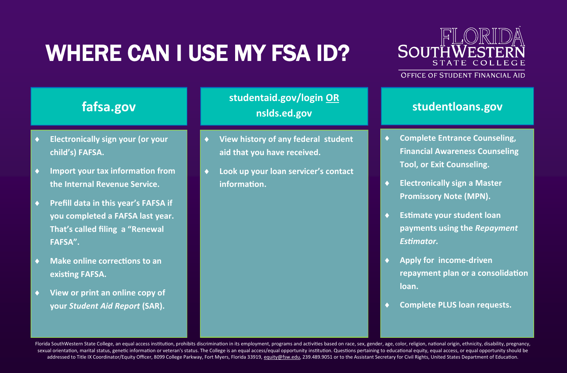# WHERE CAN I USE MY FSA ID?



#### **OFFICE OF STUDENT FINANCIAL AID**

### **fafsa.gov**

- **Electronically sign your (or your child's) FAFSA.**
- **Import your tax information from the Internal Revenue Service.**
- **Prefill data in this year's FAFSA if you completed a FAFSA last year. That's called filing a "Renewal FAFSA".**
- **Make online corrections to an existing FAFSA.**
- **View or print an online copy of your** *Student Aid Report* **(SAR).**

#### **studentaid.gov/login OR nslds.ed.gov**

- **View history of any federal student aid that you have received.**
- **Look up your loan servicer's contact information.**

#### **studentloans.gov**

- **Complete Entrance Counseling, Financial Awareness Counseling Tool, or Exit Counseling.**
- **Electronically sign a Master Promissory Note (MPN).**
- **Estimate your student loan payments using the** *Repayment Estimator.*
- **Apply for income-driven repayment plan or a consolidation loan.**
- **Complete PLUS loan requests.**

Florida SouthWestern State College, an equal access institution, prohibits discrimination in its employment, programs and activities based on race, sex, gender, age, color, religion, national origin, ethnicity, disability, sexual orientation, marital status, genetic information or veteran's status. The College is an equal access/equal opportunity institution. Questions pertaining to educational equity, equal access, or equal opportunity shou addressed to Title IX Coordinator/Equity Officer, 8099 College Parkway, Fort Myers, Florida 33919, [equity@fsw.edu,](mailto:equity@fsw.edu) 239.489.9051 or to the Assistant Secretary for Civil Rights, United States Department of Education.